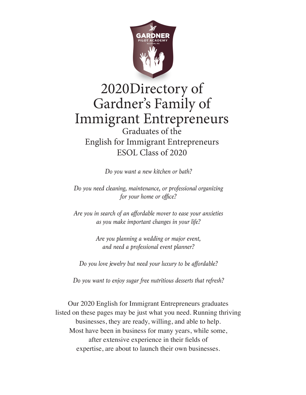

# 2020Directory of Gardner's Family of Immigrant Entrepreneurs Graduates of the English for Immigrant Entrepreneurs ESOL Class of 2020

*Do you want a new kitchen or bath?*

*Do you need cleaning, maintenance, or professional organizing for your home or office?*

*Are you in search of an affordable mover to ease your anxieties as you make important changes in your life?*

> *Are you planning a wedding or major event, and need a professional event planner?*

*Do you love jewelry but need your luxury to be affordable?*

*Do you want to enjoy sugar free nutritious desserts that refresh?*

Our 2020 English for Immigrant Entrepreneurs graduates listed on these pages may be just what you need. Running thriving businesses, they are ready, willing, and able to help. Most have been in business for many years, while some, after extensive experience in their fields of expertise, are about to launch their own businesses.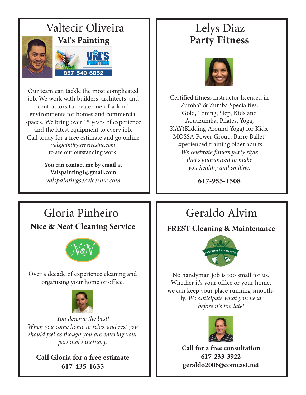

Our team can tackle the most complicated job. We work with builders, architects, and contractors to create one-of-a-kind environments for homes and commercial spaces. We bring over 15 years of experience and the latest equipment to every job. Call today for a free estimate and go online *valspaintingservicesinc.com* to see our outstanding work.

> **You can contact me by email at Valspainting1@gmail.com** *valspaintingservicesinc.com*

# **Party Fitness**



Certified fitness instructor licensed in Zumba® & Zumba Specialties: Gold, Toning, Step, Kids and Aquazumba. Pilates, Yoga, KAY(Kidding Around Yoga) for Kids. MOSSA Power Group. Barre Ballet. Experienced training older adults. *We celebrate fitness party style that's guaranteed to make you healthy and smiling.*

**617-955-1508**

# Gloria Pinheiro  $\Box$  Geraldo Alvim **Nice & Neat Cleaning Service**



Over a decade of experience cleaning and organizing your home or office.



*You deserve the best! When you come home to relax and rest you should feel as though you are entering your personal sanctuary.*

**Call Gloria for a free estimate 617-435-1635**

**FREST Cleaning & Maintenance**



No handyman job is too small for us. Whether it's your office or your home, we can keep your place running smoothly. *We anticipate what you need before it's too late!*



**Call for a free consultation 617-233-3922 geraldo2006@comcast.net**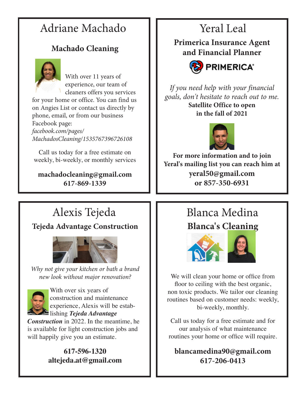# Adriane Machado  $\blacksquare$  Yeral Leal

### **Machado Cleaning**



With over 11 years of experience, our team of cleaners offers you services

for your home or office. You can find us on Angies List or contact us directly by phone, email, or from our business Facebook page: *facebook.com/pages/ MachadosCleaning/1535767396726108*

Call us today for a free estimate on weekly, bi-weekly, or monthly services

**machadocleaning@gmail.com 617-869-1339**

**Primerica Insurance Agent and Financial Planner**



*If you need help with your financial goals, don't hesitate to reach out to me.* **Satellite Office to open in the fall of 2021**



**For more information and to join Yeral's mailing list you can reach him at yeral50@gmail.com or 857-350-6931**

# Alexis Tejeda

### **Tejeda Advantage Construction**



*Why not give your kitchen or bath a brand new look without major renovation?* 



With over six years of construction and maintenance experience, Alexis will be establishing *Tejeda Advantage* 

*Construction* in 2022. In the meantime, he is available for light construction jobs and will happily give you an estimate.

### **617-596-1320 altejeda.at@gmail.com**

# **Blanca's Cleaning** Blanca Medina



We will clean your home or office from floor to ceiling with the best organic, non toxic products. We tailor our cleaning routines based on customer needs: weekly, bi-weekly, monthly.

Call us today for a free estimate and for our analysis of what maintenance routines your home or office will require.

**blancamedina90@gmail.com 617-206-0413**